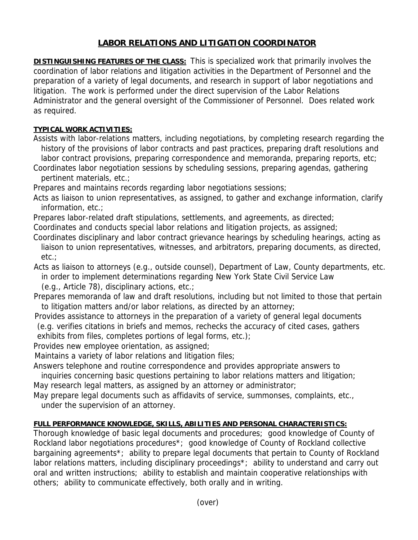## **LABOR RELATIONS AND LITIGATION COORDINATOR**

**DISTINGUISHING FEATURES OF THE CLASS:** This is specialized work that primarily involves the coordination of labor relations and litigation activities in the Department of Personnel and the preparation of a variety of legal documents, and research in support of labor negotiations and litigation. The work is performed under the direct supervision of the Labor Relations Administrator and the general oversight of the Commissioner of Personnel. Does related work as required.

## **TYPICAL WORK ACTIVITIES:**

Assists with labor-relations matters, including negotiations, by completing research regarding the history of the provisions of labor contracts and past practices, preparing draft resolutions and labor contract provisions, preparing correspondence and memoranda, preparing reports, etc;

Coordinates labor negotiation sessions by scheduling sessions, preparing agendas, gathering pertinent materials, etc.;

Prepares and maintains records regarding labor negotiations sessions;

Acts as liaison to union representatives, as assigned, to gather and exchange information, clarify information, etc.;

Prepares labor-related draft stipulations, settlements, and agreements, as directed;

Coordinates and conducts special labor relations and litigation projects, as assigned;

Coordinates disciplinary and labor contract grievance hearings by scheduling hearings, acting as liaison to union representatives, witnesses, and arbitrators, preparing documents, as directed, etc.;

Acts as liaison to attorneys (e.g., outside counsel), Department of Law, County departments, etc. in order to implement determinations regarding New York State Civil Service Law

(e.g., Article 78), disciplinary actions, etc.;

Prepares memoranda of law and draft resolutions, including but not limited to those that pertain to litigation matters and/or labor relations, as directed by an attorney;

 Provides assistance to attorneys in the preparation of a variety of general legal documents (e.g. verifies citations in briefs and memos, rechecks the accuracy of cited cases, gathers

exhibits from files, completes portions of legal forms, etc.);

Provides new employee orientation, as assigned;

Maintains a variety of labor relations and litigation files;

Answers telephone and routine correspondence and provides appropriate answers to

 inquiries concerning basic questions pertaining to labor relations matters and litigation; May research legal matters, as assigned by an attorney or administrator;

May prepare legal documents such as affidavits of service, summonses, complaints, etc., under the supervision of an attorney.

## **FULL PERFORMANCE KNOWLEDGE, SKILLS, ABILITIES AND PERSONAL CHARACTERISTICS:**

Thorough knowledge of basic legal documents and procedures; good knowledge of County of Rockland labor negotiations procedures\*; good knowledge of County of Rockland collective bargaining agreements\*; ability to prepare legal documents that pertain to County of Rockland labor relations matters, including disciplinary proceedings<sup>\*</sup>; ability to understand and carry out oral and written instructions; ability to establish and maintain cooperative relationships with others; ability to communicate effectively, both orally and in writing.